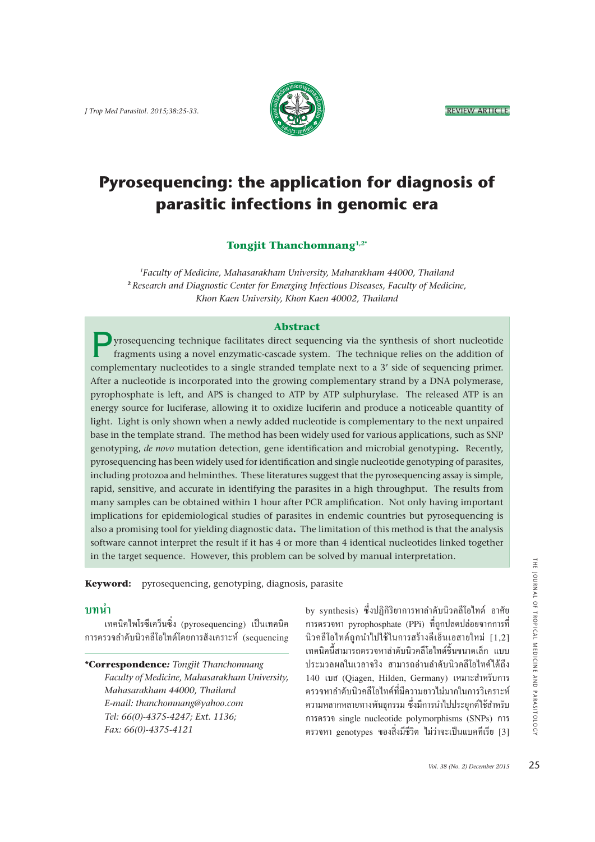

# **Pyrosequencing: the application for diagnosis of parasitic infections in genomic era**

#### **Tongjit Thanchomnang1,2\***

*1Faculty of Medicine, Mahasarakham University, Maharakham 44000, Thailand* **<sup>2</sup>***Research and Diagnostic Center for Emerging Infectious Diseases, Faculty of Medicine, Khon Kaen University, Khon Kaen 40002, Thailand*

#### **Abstract**

P yrosequencing technique facilitates direct sequencing via the synthesis of short nucleotide fragments using a novel enzymatic-cascade system. The technique relies on the addition of complementary nucleotides to a single stranded template next to a 3' side of sequencing primer. After a nucleotide is incorporated into the growing complementary strand by a DNA polymerase, pyrophosphate is left, and APS is changed to ATP by ATP sulphurylase. The released ATP is an energy source for luciferase, allowing it to oxidize luciferin and produce a noticeable quantity of light. Light is only shown when a newly added nucleotide is complementary to the next unpaired base in the template strand. The method has been widely used for various applications, such as SNP genotyping, *de novo* mutation detection, gene identification and microbial genotyping**.** Recently, pyrosequencing has been widely used for identification and single nucleotide genotyping of parasites, including protozoa and helminthes. These literatures suggest that the pyrosequencing assay is simple, rapid, sensitive, and accurate in identifying the parasites in a high throughput. The results from many samples can be obtained within 1 hour after PCR amplification. Not only having important implications for epidemiological studies of parasites in endemic countries but pyrosequencing is also a promising tool for yielding diagnostic data**.** The limitation of this method is that the analysis software cannot interpret the result if it has 4 or more than 4 identical nucleotides linked together in the target sequence. However, this problem can be solved by manual interpretation.

**Keyword:** pyrosequencing, genotyping, diagnosis, parasite

#### <u>ำเทนำ</u>

เทคนิคไพโรซีเคว็นซิ่ง (pyrosequencing) เป็นเทคนิค การตรวจลำดับนิวคลีโอไทด์โดยการสังเคราะห์ (sequencing

**\*Correspondence***: Tongjit Thanchomnang Faculty of Medicine, Mahasarakham University, Mahasarakham 44000, Thailand E-mail: thanchomnang@yahoo.com Tel: 66(0)-4375-4247; Ext. 1136; Fax: 66(0)-4375-4121*

by synthesis) ซึ่งปฏิกิริยาการหาลำดับนิวคลีโอไทด์ อาศัย | การตรวจหา pyrophosphate (PPi) ที่ถูกปลดปล่อยจากการที่<br>นิวคลีโอไทด์ถกนำไปใช้ในการสร้างดีเอ็นเอสายใหม่ [1.2] ี เทคนิคนี้สามารถตรวจหาถำดับนิวคลีโอไทด์ชิ้นขนาดเล็ก แบบ ้ำประมวลผลในเวลาจริง สามารถอ่านลำดับนิวคลีโอไทด์ได้ถึง 140 เบส (Qiagen, Hilden, Germany) เหมาะสำหรับการ<br>ตรวจหาลำดับนิวคลีโอไทด์ที่มีความยาวไม่มากในการวิเคราะห์ ี ความหลากหลายทางพันธกรรม ซึ่งมีการนำไปประยุกต์ใช้สำหรับ การตรวจ single nucleotide polymorphisms (SNPs) การ ี ตรวจหา genotypes ของสิ่งมีชีวิต ไม่ว่าจะเป็นแบคทีเรีย [3]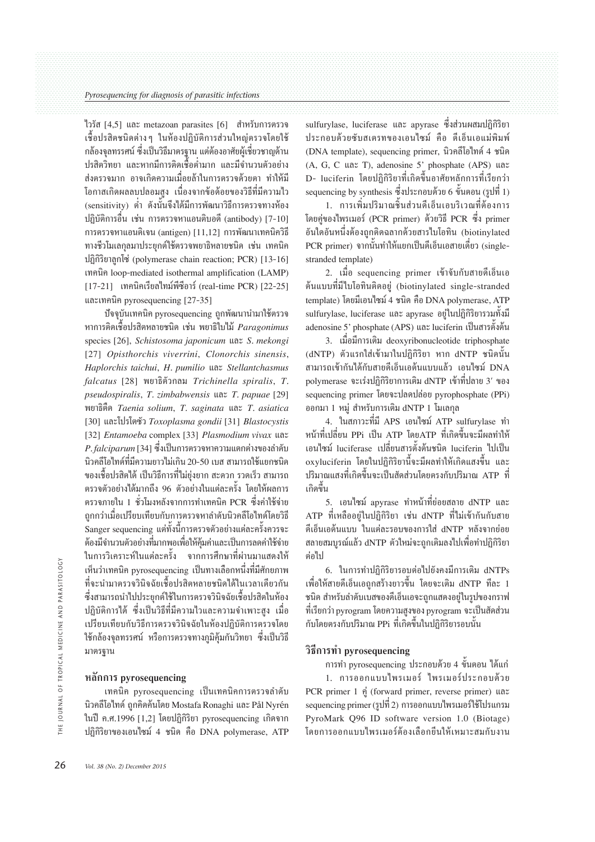ไวรัส  $[4,5]$  และ metazoan parasites  $[6]$  สำหรับการตรวจ ้เชื้อปรสิตชนิดต่าง ๆ ในห้องปฏิบัติการส่วนใหญ่ตรวจโดยใช้ ึกถ้องจลทรรศน์ ซึ่งเป็นวิธีมาตรจาน แต่ต้องอาศัยผู้เชี่ยวชาญด้าน ้านว่างู่<br>ปรสิตวิทยา และหากมีการติดเชื้อต่ำมาก และมีจำนวนตัวอย่าง ส่งตรวจมาก อาจเกิดความเมื่อยล้าในการตรวจด้วยตา ทำให้มี โอกาสเกิดผลลบปลอมสูง เนื่องจากข้อด้อยของวิธีที่มีความไว (sensitivity) ต่ำ ดังนั้นจึงได้มีการพัฒนาวิธีการตรวจทางห้อง ปฏิบัติการอื่น เช่น การตรวจหาแอนติบอดี (antibody) [7-10] การตรวจหาแอนติเจน (antigen) [11,12] การพัฒนาเทคนิควิธี ทางชีวโมเลกุลมาประยุกต์ใช้ตรวจพยาธิหลายชนิด เช่น เทคนิค ปฏิกิริยาลกโซ่ (polymerase chain reaction; PCR) [13-16] เทคนิค loop-mediated isothermal amplification (LAMP) [17-21] เทคนิคเรียลไทม์พีซีอาร์ (real-time PCR) [22-25] และเทคนิค pyrosequencing [27-35]

ปัจจบันเทคนิค pyrosequencing ถูกพัฒนานำมาใช้ตรวจ หาการติดเชื้อปรสิตหลายชนิด เช่น พยาธิไบไม้ Paragonimus species [26], Schistosoma japonicum unz S. mekongi [27] Opisthorchis viverrini, Clonorchis sinensis, Haplorchis taichui, H. pumilio และ Stellantchasmus falcatus [28] พยาธิตัวกลม Trichinella spiralis, T. pseudospiralis,  $T$ . zimbabwensis un $Z$ . papuae [29] พยาธิตื๊ด Taenia solium, T. saginata และ T. asiatica [30] และโปรโตซัว Toxoplasma gondii [31] Blastocystis [32] Entamoeba complex [33] Plasmodium vivax และ P. falciparum [34] ซึ่งเป็นการตรวจหาความแตกต่างของลำดับ ้นิวคลีโอไทด์ที่มีความยาวไม่เกิน 20-50 เบส สามารถใช้แยกชนิด ี ของเชื้อปรสิตได้ เป็นวิธีการที่ไม่ยุ่งยาก สะดวก รวดเร็ว สามารถ ี ตรวจตัวอย่างได้มากถึง 96 ตัวอย่างในแต่ละครั้ง โดยให้ผลการ ตรวจภายใน 1 ชั่วโมงหลังจากการทำเทคนิค PCR ซึ่งค่าใช้จ่าย ถกกว่าเมื่อเปรียบเทียบกับการตรวจหาลำดับนิวคลีโอไทด์โดยวิธี ์<br>Sanger sequencing แต่ทั้งนี้การตรวจตัวอย่างแต่ละครั้งควรจะ ด้องมีจำนวนตัวอย่างที่มากพอเพื่อให้คุ้มค่าและเป็นการลดค่าใช้จ่าย ในการวิเคราะห์ในแต่ละครั้ง จากการศึกษาที่ผ่านมาแสดงให้ เห็นว่าเทคนิค pvrosequencing เป็นทางเลือกหนึ่งที่มีศักยภาพ ที่จะนำมาตรวจวินิจฉัยเชื้อปรสิตหลายชนิดได้ในเวลาเดียวกัน ซึ่งสามารถนำไปประยุกต์ใช้ในการตรวจวินิจฉัยเชื้อปรสิตในห้อง ปฏิบัติการได้ ซึ่งเป็นวิธีที่มีความไวและความจำเพาะสง เมื่อ เปรียบเทียบกับวิธีการตรวจวินิจฉัยในห้องปฏิบัติการตรวจโดย ใช้กล้องจลทรรศน์ หรือการตรวจทางภูมิค้มกันวิทยา ซึ่งเป็นวิธี มาตรฐาน

### หลักการ pyrosequencing

เทคนิค pyrosequencing เป็นเทคนิคการตรวจลำดับ นิวคลีโอไทด์ ถูกคิดค้นโดย Mostafa Ronaghi และ Pål Nyrén ในปี ค.ศ.1996 [1.2] โดยปฏิกิริยา pvrosequencing เกิดจาก ปฏิกิริยาของเอนไซม์ 4 ชนิด คือ DNA polymerase, ATP sulfurylase, luciferase และ apyrase ซึ่งส่วนผสมปฏิกิริยา ประกอบด้วยซับสเตรทของเอนใซม์ คือ ดีเอ็นเอแม่พิมพ์ (DNA template), sequencing primer, นิวคลีโอไทด์ 4 ชนิด (A, G, C และ T), adenosine 5' phosphate (APS) และ D- luciferin โดยปฏิกิริยาที่เกิดขึ้นอาศัยหลักการที่เรียกว่า sequencing by synthesis ซึ่งประกอบด้วย 6 ขั้นตอน (รูปที่ 1)

1. การเพิ่มปริมาณชิ้นส่วนดีเอ็นเอบริเวณที่ต้องการ โดยค่ของไพรเมอร์ (PCR primer) ด้วยวิธี PCR ซึ่ง primer อันใดอันหนึ่งต้องถูกติดฉลากด้วยสารไบโอทิน (biotinylated PCR primer) จากนั้นทำให้แยกเป็นดีเอ็นเอสายเดี่ยว (singlestranded template)

2. เมื่อ sequencing primer เข้าจับกับสายดีเอ็นเอ ด้นแบบที่มีไบโอทินติดอยู่ (biotinylated single-stranded template) โดยมีเอนไซม์ 4 ชนิด คือ DNA polymerase, ATP sulfurylase, luciferase และ apyrase อยู่ในปฏิกิริยารวมทั้งมี adenosine 5' phosphate (APS) และ luciferin เป็นสารตั้งต้น

3. เมื่อมีการเติม deoxyribonucleotide triphosphate (dNTP) ตัวแรกใส่เข้ามาในปฏิกิริยา หาก dNTP ชนิดนั้น สามารถเข้ากันได้กับสายดีเอ็นเอต้นแบบแล้ว เอนไซม์ DNA polymerase จะเร่งปฏิกิริยาการเติม dNTP เข้าที่ปลาย 3' ของ sequencing primer โดยจะปลดปล่อย pyrophosphate (PPi) ืออกมา 1 หมู่ สำหรับการเติม dNTP 1 โมเลกุล

4. ในสภาวะที่มี APS เอนไซม์ ATP sulfurylase ทำ หน้าที่เปลี่ยน PPi เป็น ATP โดยATP ที่เกิดขึ้นจะมีผลทำให้ เอนไซม์ luciferase เปลี่ยนสารตั้งต้นชนิด luciferin ไปเป็น oxyluciferin โดยในปฏิกิริยานี้จะมีผลทำให้เกิดแสงขึ้น และ ปริมาณแสงที่เกิดขึ้นจะเป็นสัดส่วนโดยตรงกับปริมาณ ATP ที่ เกิดขึ้น

5. เอนไซม์ apyrase ทำหน้าที่ย่อยสลาย dNTP และ ATP ที่เหลืออยู่ในปฏิกิริยา เช่น dNTP ที่ไม่เข้ากันกับสาย ดีเอ็นเอด้นแบบ<sup>์</sup> ในแต่ละรอบของการใส่ dNTP หลังจากย่อย ิสถายสมบรณ์แล้ว dNTP ตัวใหม่จะถกเติมลงไปเพื่อทำปฏิกิริยา ต่อไป

6. ในการทำปฏิกิริยารอบต่อไปยังคงมีการเติม dNTPs เพื่อให้สายดีเอ็นเอถูกสร้างยาวขึ้น โดยจะเติม dNTP ทีละ 1 ิชนิด สำหรับลำดับเบ<sup>ิ</sup>สของดีเอ็นเอจะถูกแสดงอยู่ในรูปของกราฟ ที่เรียกว่า pyrogram โดยความสงของ pyrogram จะเป็นสัดส่วน ้กับโดยตรงกับปริมาณ PPi ที่เกิดขึ้นในปฏิกิริยารอบนั้น

#### วิธีการทำ pyrosequencing

การทำ pyrosequencing ประกอบด้วย 4 ขั้นตอน ได้แก่

1. การออกแบบไพรเมอร์ ไพรเมอร์ประกอบด้วย PCR primer 1 คู่ (forward primer, reverse primer) และ sequencing primer (รูปที่ 2) การออกแบบใพรเมอร์ใช้โปรแกรม PyroMark O96 ID software version 1.0 (Biotage) โดยการออกแบบไพรเมอร์ต้องเลือกยืนให้เหมาะสมกับงาน

OURNAL OF TROPICAL MEDICINE AND PARASITOLOGY

こ<br>王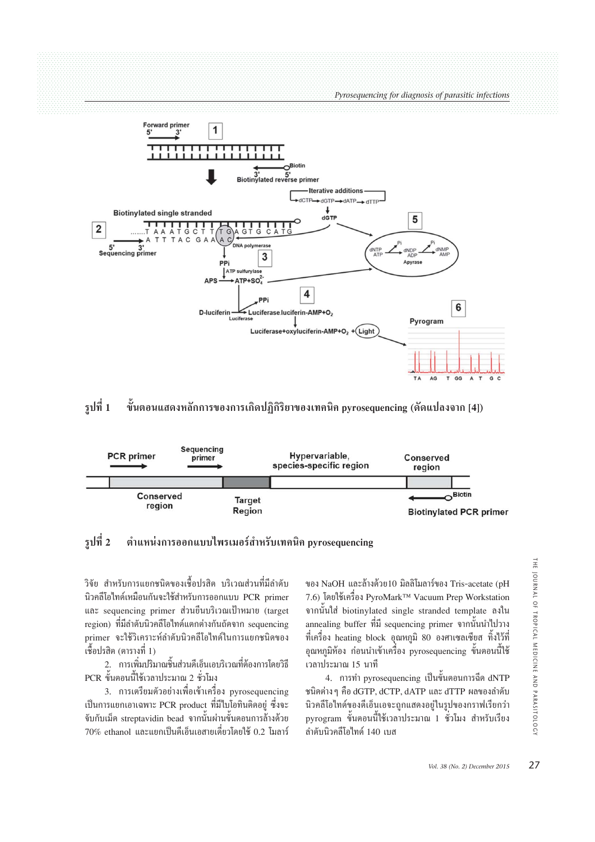Pyrosequencing for diagnosis of parasitic infections



#### รปที่ 1 ขั้นตอนแสดงหลักการของการเกิดปฏิกิริยาของเทคนิค pyrosequencing (ดัดแปลงจาก [4])



#### รูปที่ 2 ้ตำแหน่งการออกแบบไพรเมอร์สำหรับเทคนิค pvrosequencing

วิจัย สำหรับการแยกชนิดของเชื้อปรสิต บริเวณส่วนที่มีลำดับ นิวคลีโอไทด์เหมือนกันจะใช้สำหรับการออกแบบ PCR primer และ sequencing primer ส่วนยืนบริเวณเป้าหมาย (target region) ที่มีลำดับนิวคลีโอไทด์แตกต่างกันถัดจาก sequencing primer จะใช้วิเคราะห์ลำดับนิวคลีโอไทด์ในการแยกชนิดของ ้เชื้อปรสิต (ตารางที่ 1)

่ 2. การเพิ่มปริมาณชิ้นส่วนดีเอ็นเอบริเวณที่ต้องการโดยวิธี PCR ขั้นตอนนี้ใช้เวลาประมาณ 2 ชั่วโมง

3. การเตรียมตัวอย่างเพื่อเข้าเครื่อง pyrosequencing เป็นการแยกเอาเฉพาะ PCR product ที่มีใบโอทินติดอยู่ ซึ่งจะ จับกับเม็ด streptavidin bead จากนั้นผ่านขั้นตอนการล้างด้วย 70% ethanol และแยกเป็นดีเอ็นเอสายเดี่ยวโดยใช้ 0.2 โมลาร์

ของ NaOH และล้างด้วย10 มิลลิโมลาร์ของ Tris-acetate (pH 7.6) โดยใช้เครื่อง PyroMark™ Vacuum Prep Workstation จากนั้นใส่ biotinylated single stranded template ถงใน annealing buffer ที่มี sequencing primer จากนั้นนำไปวาง ที่เครื่อง heating block อุณหภูมิ 80 องศาเซลเซียส ทิ้งไว้ที่ อณหภูมิห้อง ก่อนนำเข้าเครื่อง pyrosequencing ขั้นตอนนี้ใช้ ้เวลาประมาณ 15 นาที

4. การทำ pyrosequencing เป็นขั้นตอนการฉีด dNTP ชนิดต่าง ๆ คือ dGTP, dCTP, dATP และ dTTP ผลของลำดับ นิวคลีโอไทด์ของดีเอ็นเอจะถูกแสดงอยู่ในรูปของกราฟเรียกว่า ่ pyrogram ขั้นตอนนี้ใช้เวลาประมาณ 1 ชั่วโมง สำหรับเรียง ้อำดับบิวคลีโอไทด์ 140 เบส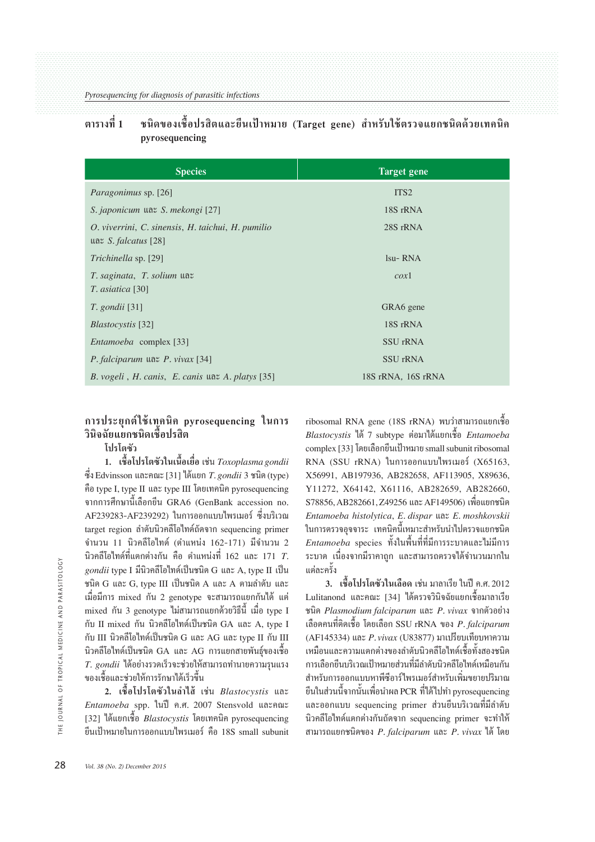#### ีตารางที่ 1 ิชนิดของเชื้อปรสิตและยืนเป้าหมาย (Target gene) สำหรับใช้ตรวจแยกชนิดด้วยเทคนิค pyrosequencing

| <b>Species</b>                                                                      | <b>Target gene</b> |
|-------------------------------------------------------------------------------------|--------------------|
| <i>Paragonimus</i> sp. [26]                                                         | ITS <sub>2</sub>   |
| S. japonicum และ S. mekongi [27]                                                    | 18S rRNA           |
| O. viverrini, C. sinensis, H. taichui, H. pumilio<br>$\text{max } S.$ falcatus [28] | 28S rRNA           |
| Trichinella sp. [29]                                                                | $Isu-RNA$          |
| $T.$ saginata, $T.$ solium $\text{U}$ a $\text{V}$<br><i>T. asiatica</i> [30]       | $\cos 1$           |
| <i>T.</i> gondii [31]                                                               | GRA6 gene          |
| <i>Blastocystis</i> [32]                                                            | 18S rRNA           |
| <i>Entamoeba</i> complex [33]                                                       | <b>SSU</b> rRNA    |
| <i>P. falciparum</i> $\text{Var } P$ . <i>vivax</i> [34]                            | SSU rRNA           |
| B. vogeli, H. canis, E. canis $\text{max } A$ . platys [35]                         | 18S rRNA, 16S rRNA |

#### การประยุกต์ใช้เทคนิค pyrosequencing ในการ วินิจฉัยแยกชนิดเชื้อปรสิต โปรโตซัว

1. เชื้อโปรโตซัวในเนื้อเยื่อ เช่น Toxoplasma gondii ซึ่ง Edvinsson และคณะ [31] ได้แยก T. gondii 3 ชนิด (type) คือ tvpe I. tvpe II และ tvpe III โดยเทคนิค pyrosequencing จากการศึกษานี้เลือกยืน GRA6 (GenBank accession no. AF239283-AF239292) ในการออกแบบไพรเมอร์ ซึ่งบริเวณ target region ถ้ำดับนิวคลีโอไทด์ถัดจาก sequencing primer ้จำนวน 11 นิวคลีโอไทด์ (ตำแหน่ง 162-171) มีจำนวน 2 นิวคลีโอไทด์ที่แตกต่างกัน คือ ตำแหน่งที่ 162 และ 171  $T$ . gondii type I มีนิวคลีโอไทด์เป็นชนิด G และ A, type II เป็น ชนิด G และ G, type III เป็นชนิด A และ A ตามลำดับ และ เมื่อมีการ mixed กัน 2 genotype จะสามารถแยกกันได้ แต่ mixed กัน 3 genotype ไม่สามารถแยกด้วยวิธีนี้ เมื่อ type I กับ II mixed กัน นิวคลีโอไทด์เป็นชนิด GA และ A. tvpe I กับ III นิวคลีโอไทด์เป็นชนิด G และ AG และ type II กับ III นิวคลีโอไทด์เป็นชนิด GA และ AG การแยกสายพันธ์ของเชื้อ  $T.$  gondii ได้อย่างรวดเร็วจะช่วยให้สามารถทำนายความรนแรง ของเชื้อและช่วยให้การรักษาได้เร็วขึ้น

2. เชื้อโปรโตซัวในลำไส้ เช่น Blastocystis และ Entamoeba spp. ในปี ค.ศ. 2007 Stensvold และคณะ 1321 ได้แยกเชื้อ Blastocystis โดยเทคนิค pyrosequencing ยืนเป้าหมายในการออกแบบไพรเมอร์ คือ 18S small subunit ribosomal RNA gene (18S rRNA) พบว่าสามารถแยกเชื้อ Blastocystis ได้ 7 subtype ต่อมาได้แยกเชื้อ Entamoeba complex [33] โดยเลือกยืนเป้าหมาย small subunit ribosomal RNA  $(SSU$  rRNA) ในการออกแบบไพรเมอร์  $(X65163, Y)$ X56991, AB197936, AB282658, AF113905, X89636, Y11272, X64142, X61116, AB282659, AB282660, S78856, AB282661, Z49256 และ AF149506) เพื่อแยกชนิด Entamoeba histolytica, E. dispar และ E. moshkovskii ในการตรวจอจจาระ เทคนิคนี้เหมาะสำหรับนำไปตรวจแยกชนิด  $Entamoeba$  species ทั้งในพื้นที่ที่มีการระบาดและไม่มีการ ้ระบาด เนื่องจากมีราคาถก และสามารถตรวจได้จำนวนมากใน แต่ละครั้ง

3. เชื้อโปรโตซัวในเลือด เช่น มาลาเรีย ในปี ค.ศ. 2012 Lulitanond และคณะ [34] ได้ตรวจวินิจฉัยแยกเชื้อมาลาเรีย ชนิด Plasmodium falciparum และ P. vivax จากตัวอย่าง ้เลือดคนที่ติดเชื้อ โดยเลือก SSU rRNA ของ *P. falciparum* (AF145334) และ P. vivax (U83877) มาเปรียบเทียบหาความ ้ เหมือนและความแตกต่างของลำดับนิวคลีโอไทด์เชื้อทั้งสองชนิด ่ การเลือกยืนบริเวณเป้าหมายส่วนที่มีลำดับนิวคลีโอไทด์เหมือนกัน ี่ สำหรับการออกแบบหาพีซีอาร์ไพรเมอร์สำหรับเพิ่มขยายปริมาณ ยืนในส่วนนี้จากนั้นเพื่อนำผล PCR ที่ได้ไปทำ pyrosequencing และออกแบบ sequencing primer ส่วนขึ้นบริเวณที่มีลำดับ นิวคลีโอไทด์แตกต่างกันถัดจาก sequencing primer จะทำให้ สามารถแยกชนิดของ  $P.$  falciparum และ  $P.$  vivax ได้ โดย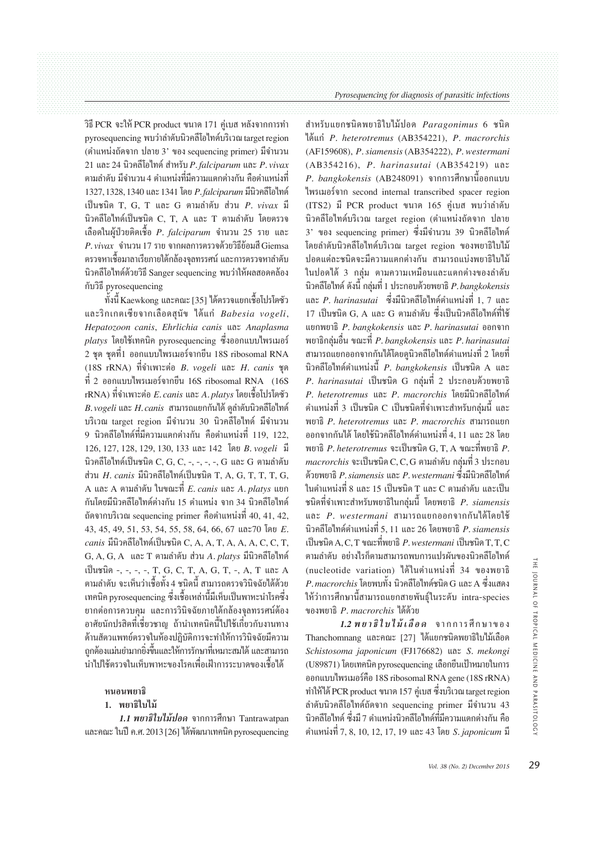วิธี PCR จะให้ PCR product ขนาด 171 คู่เบส หลังจากการทำ pyrosequencing พบว่าลำดับนิวคลีโอไทด์บริเวณ target region (ตำแหน่งถัดจาก ปลาย 3' ของ sequencing primer) มีจำนวน 21 และ 24 นิวคลีโอไทด์ สำหรับ P. falciparum และ P. vivax ี ตามลำดับ มีจำนวน 4 ตำแหน่งที่มีความแตกต่างกัน คือตำแหน่งที่ 1327, 1328, 1340 และ 1341 โดย *P. falciparum* มีนิวคลีโอไทด์ เป็นชนิด T. G. T และ G ตามลำดับ ส่วน P. vivax มี นิวคลีโอไทด์เป็นชนิด C. T. A และ T ตามลำดับ โดยตรวจ เลือดในผู้ป่วยติดเชื้อ P. falciparum จำนวน 25 ราย และ  $P.$ vivax จำนวน 17 ราย จากผลการตรวจด้วยวิธีย้อมสี Giemsa ิ ตรวจหาเชื้อมาลาเรียภายใต้กล้องจลทรรศน์ และการตรวจหาลำดับ นิวคลีโอไทด์ด้วยวิธี Sanger sequencing พบว่าให้ผลสอดคล้อง กับวิธี pyrosequencing

์ ทั้งนี้ Kaewkong และคณะ [35] ใด้ตรวจแยกเชื้อโปรโตซัว และริกเกตเซียจากเลือดสนัข ได้แก่ Babesia vogeli, Hepatozoon canis, Ehrlichia canis และ Anaplasma  $_{\textit{platys}}$  โดยใช้เทคนิค pyrosequencing ซึ่งออกแบบไพรเมอร์ 2 ชด ชดที่1 ออกแบบไพรเมอร์จากยืน 18S ribosomal RNA (18S rRNA) ที่จำเพาะต่อ  $B.$  vogeli และ  $H.$  canis ชด  $\dot{\vec{n}}$  2 ออกแบบไพรเมอร์จากยืน 16S ribosomal RNA (16S)  $rRNA$ ) ที่จำเพาะต่อ  $E.\,can$ is และ  $A.\,plat$ ys โดยเชื้อโปรโตซัว  $B$ . vogeli และ  $H$ . canis สามารถแยกกันได้ ดุลำดับนิวคลีโอไทด์ บริเวณ target region มีจำนวน 30 นิวคลีโอไทด์ มีจำนวน ่ 9 นิวคลีโอไทด์ที่มีความแตกต่างกัน คือตำแหน่งที่ 119 122 126, 127, 128, 129, 130, 133 และ 142 โดย B. vogeli มี นิวคลีโอไทด์เป็นชนิด C, G, C, -, -, -, -, G และ G ตามลำดับ ส่วน  $H$ .  $canis$  มีนิวคลีโอไทด์เป็นชนิด T, A, G, T, T, T, G, A และ A ตามลำดับ ในขณะที่  $E$  canis และ A platys แยก ้กันโดยมีนิวคลีโอไทด์ต่างกัน 15 ตำแหน่ง จาก 34 นิวคลีโอไทด์ ถัดจากบริเวณ sequencing primer คือตำแหน่งที่ 40, 41, 42, 43, 45, 49, 51, 53, 54, 55, 58, 64, 66, 67 และ70 โดย E. *canis* มีนิวคลีโอไทด์เป็นชนิด C. A. A. T. A. A. A. C. C. T. G, A, G, A และ T ตามลำดับ ส่วน A, platys มีนิวคลีโอไทด์ เป็นชนิด -, -, -, -, T, G, C, T, A, G, T, -, A, T และ A ี ตามลำดับ จะเห็นว่าเชื้อทั้ง 4 ชนิดนี้ สามารถตรวจวินิจฉัยได้ด้วย เทคนิค pyrosequencing ซึ่งเชื้อเหล่านี้มีเห็บเป็นพาหะนำโรคซึ่ง ยากต่อการควบคุม และการวินิจฉัยภายใต้กล้องจลทรรศน์ต้อง ้อาศัยนักปรสิตที่เชี่ยวชาญ ถ้านำเทคนิคนี้ไปใช้เกี่ยวกับงานทาง ด้านสัตวแพทย์ตรวจในห้องปฏิบัติการจะทำให้การวินิจฉัยมีความ ิ ถูกต้องแม่นยำมากยิ่งขึ้นและให้การรักษาที่เหมาะสมได้ และสามารถ ์ น้ำไปใช้ตรวจในเห็บพาหะของโรคเพื่อเฝ้าการระบาดของเชื้อได้

#### หนอนพยาธิ

#### 1. พยาธิใบไม้

1.1 พยาธิใบไม้ปอด จากการศึกษา Tantrawatpan และคณะ ในปี ค.ศ. 2013 [26] ได้พัฒนาเทคนิค pyrosequencing

สำหรับแยกชนิดพยาธิใบไม้ปอด Paragonimus 6 ชนิด ได้แก่ P. heterotremus (AB354221), P. macrorchis (AF159608), P. siamensis (AB354222), P. westermani (AB354216), P. harinasutai (AB354219) และ P. bangkokensis (AB248091) จากการศึกษานี้ออกแบบ ไพรเมอร์จาก second internal transcribed spacer region (ITS2) มี PCR product ขนาด 165 ค่เบส พบว่าลำดับ นิวคลีโอไทด์บริเวณ target region (ตำแหน่งถัดจาก ปลาย 3' ของ sequencing primer) ซึ่งมีจำนวน 39 นิวคลีโอไทด์ โดยลำดับนิวคลีโอไทด์บริเวณ target region ของพยาธิใบไม้ ีปอดแต่ละชนิดจะมีความแตกต่างกัน สามารถแบ่งพยาธิใบไม้ ในปอดได้ 3 กล่ม ตามความเหมือนและแตกต่างของลำดับ ี นิวคลีโอไทด์ ดังนี้ กล่มที่ 1 ประกอบด้วยพยาธิ *P.bangkokensis* และ P. harinasutai ซึ่งมีนิวคลีโอไทด์ตำแหน่งที่ 1, 7 และ 17 เป็นชนิด G. A. และ G. ตามลำดับ ซึ่งเป็นนิวคลีโอไทด์ที่ใช้ แยกพยาธิ P. bangkokensis และ P. harinasutai ออกจาก พยาธิกล่มอื่น ขณะที่ P. bangkokensis และ P. harinasutai ี สามารถแยกออกจากกันได้โดยดุนิวคลีโอไทด์ตำแหน่งที่ 2 โดยที่ นิวคลีโอไทด์ตำแหน่งนี้ P. bangkokensis เป็นชนิด A และ P. harinasutai เป็นชนิด G กลุ่มที่ 2 ประกอบด้วยพยาธิ P. heterotremus และ P. macrorchis โดยมีนิวคลีโอไทด์ ี ตำแหน่งที่ 3 เป็นชนิด C เป็นชนิดที่จำเพาะสำหรับกล่มนี้ และ พยาธิ P. heterotremus และ P. macrorchis สามารถแยก ้ ออกจากกันได้ โดยใช้นิวคลีโอไทด์ตำแหน่งที่ 4, 11 และ 28 โดย พยาธิ  $P$ . heterotremus จะเป็นชนิด G, T, A ขณะที่พยาธิ  $P$ . macrorchis จะเป็นชนิด C, C, G ตามลำดับ กลุ่มที่ 3 ประกอบ ี ด้วยพยาธิ *P. siamensis และ P. westermani ซึ่ง*มีนิวคลีโอไทด์ ์ในตำแหน่งที่ 8 และ 15 เป็นชนิด T และ C ตามลำดับ และเป็น ่ ชนิดที่จำเพาะสำหรับพยาธิในกล่มนี้ โดยพยาธิ P. siamensis และ P. westermani สามารถแยกออกจากกันได้โดยใช้ ีนิวคลีโอไทด์ตำแหน่งที่ 5. 11 และ 26 โดยพยาธิ P. siamensis เป็นชนิด A.C.T ขณะที่พยาธิ *P. westermani* เป็นชนิด T.T.C ิตามลำดับ อย่างไรก็ตามสามารถพบการแปรผันของนิวคลีโอไทด์ (nucleotide variation) ใด้ในตำแหน่งที่ 34 ของพยาธิ  $P$ . $macrocchis$  โดยพบทั้ง นิวคลีโอไทด์ชนิด G และ A ซึ่งแสดง ให้ว่าการศึกษานี้สามารถแยกสายพันธ์ในระดับ intra-species ของพยาธิ *P. macrorchis* ได้ด้วย

1.2 พ.ยาธิใบไม้เลือด จากการศึกษาของ Thanchomnang และคณะ [27] ได้แยกชนิดพยาธิใบไม้เลือด Schistosoma japonicum (FJ176682) และ S. mekongi (U89871) โดยเทคนิค pyrosequencing เลือกยืนเป้าหมายในการ ออกแบบไพรเมอร์คือ 18S ribosomal RNA gene (18S rRNA) ทำให้ได้ PCR product ขนาด 157 คู่เบส ซึ่งบริเวณ target region ถำดับนิวคลีโอไทด์ถัดจาก sequencing primer มีจำนวน 43 ้นิวคลีโอไทด์ ซึ่งมี 7 ตำแหน่งนิวคลีโอไทด์ที่มีความแตกต่างกัน คือ ้ตำแหน่งที่ 7, 8, 10, 12, 17, 19 และ 43 โดย *S. japonicum* มี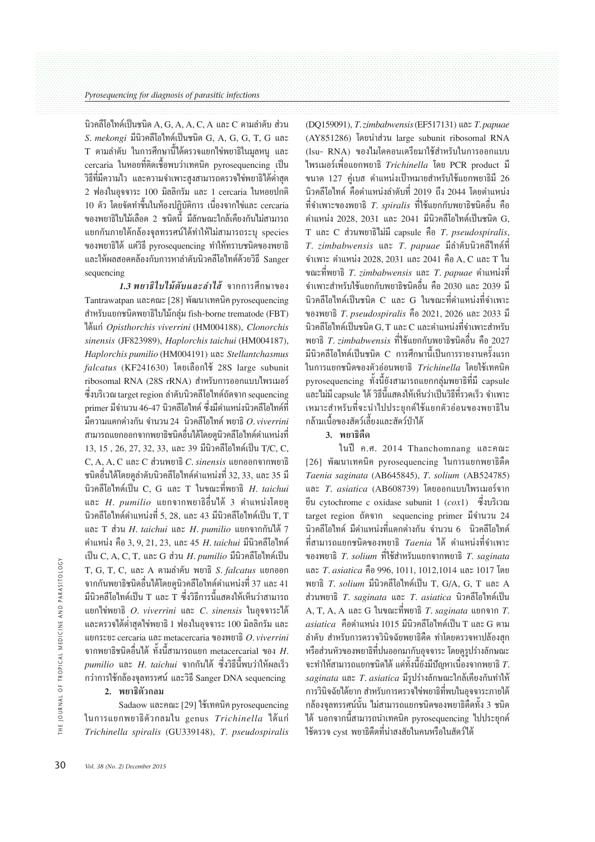นิวคลีโอไทด์เป็นชนิด A, G, A, A, C, A และ C ตามลำดับ ส่วน S. mekongi มีนิวคลีโอไทด์เป็นชนิด G, A, G, G, T, G และ ี่ T ตามลำดับ ในการศึกษานี้ได้ตรวจแยกไข่พยาธิในมลหน และ cercaria ในหอยที่ติดเชื้อพบว่าเทคนิค pyrosequencing เป็น ้วิธีที่มีความไว และความจำเพาะสูงสามารถตรวจไข่พยาธิได้ต่ำสุด 2 ฟองในอุจจาระ 100 มิลลิกรัม และ 1 cercaria ในหอยปกติ 10 ตัว โดยจัดทำขึ้นในห้องปฏิบัติการ เนื่องจากไข่และ cercaria ี ของพยาธิใบไม้เลือด 2 ชนิดนี้ มีลักษณะใกล้เคียงกันไม่สามารถ แยกกันภายใต้กล้องจลทรรศน์ได้ทำให้ไม่สามารถระบ species ของพยาธิได้ แต่วิธี pyrosequencing ทำให้ทราบชนิดของพยาธิ และให้ผลสอดคล้องกับการหาลำดับนิวคลีโอไทด์ด้วยวิธี Sanger sequencing

1.3 พยาธิใบไม้ตับและลำไส้ จากการศึกษาของ Tantrawatpan และคณะ [28] พัฒนาเทคนิค pyrosequencing สำหรับแยกชนิดพยาธิใบไม้กลุ่ม fish-borne trematode (FBT) ได้แก่ Opisthorchis viverrini (HM004188), Clonorchis sinensis (JF823989), Haplorchis taichui (HM004187), Haplorchis pumilio (HM004191) และ Stellantchasmus falcatus (KF241630) โดยเลือกใช้ 28S large subunit ribosomal RNA (28S rRNA) สำหรับการออกแบบไพรเมอร์ ซึ่งบริเวณ target region ลำดับนิวคลีโอไทด์ถัดจาก sequencing primer มีจำนวน 46-47 นิวคลีโอไทด์ ซึ่งมีตำแหน่งนิวคลีโอไทด์ที่ มีความแตกต่างกัน จำนวน 24 นิวคลีโอไทด์ พยาธิ  $O.$ viverrini ี่ สามารถแยกออกจากพยาธิชนิดอื่นได้โดยดนิวคลีโอไทด์ตำแหน่งที่ 13, 15, 26, 27, 32, 33, และ 39 มีนิวคลีโอไทด์เป็น T/C, C, C, A, A, C และ C ส่วนพยาธิ C. sinensis แยกออกจากพยาธิ ิชนิดอื่นได้โดยดุลำดับนิวคลีโอไทด์ตำแหน่งที่ 32, 33, และ 35 มี นิวคลีโอไทด์เป็น  $C. G$  และ  $T$  ในขณะที่พยาธิ  $H.$  taichui และ  $H.$  pumilio แยกจากพยาธิอื่นได้ 3 ตำแหน่งโดยด ี นิวคลีโอไทด์ตำแหน่งที่ 5. 28. และ 43 มีนิวคลีโอไทด์เป็น T. T และ T ส่วน H. taichui และ H. pumilio แยกจากกันได้ 7 ์ตำแหน่ง คือ 3, 9, 21, 23, และ 45 H, taichui มีนิวคลีโอไทด์ เป็น C, A, C, T, และ G ส่วน  $H$ , pumilio มีนิวคลีโอไทด์เป็น T, G, T, C, และ A ตามลำดับ พยาธิ S. falcatus แยกออก ี จากกันพยาธิชนิดอื่นได้โดยดูนิวคลีโอไทด์ตำแหน่งที่ 37 และ 41 ้มีนิวคลีโอไทด์เป็น T และ T ซึ่งวิธีการนี้แสดงให้เห็นว่าสามารถ แยกไข่พยาธิ O. viverrini และ C. sinensis ในอจจาระได้ ี และตรวจได้ต่ำสุดไข่พยาธิ 1 ฟองในอุจจาระ 100 มิลลิกรัม และ แยกระยะ cercaria และ metacercaria ของพยาธิ  $O.$  viverrini จากพยาธิชนิดอื่นได้ ทั้งนี้สามารถแยก metacercarial ของ  $H$ .  $p$ umili $o$  และ  $H$ . taichui จากกันได้ ซึ่งวิธีนี้พบว่าให้ผลเร็ว กว่าการใช้กล้องจลทรรศน์ และวิธี Sanger DNA sequencing

#### 2. พยาธิตัวกลม

Sadaow และคณะ [29] ใช้เทคนิค pyrosequencing ในการแยกพยาธิตัวกลมใน genus Trichinella ได้แก่ Trichinella spiralis (GU339148), T. pseudospiralis (DQ159091), T. zimbabwensis (EF517131) และ T. papuae (AY851286) โดยนำส่วน large subunit ribosomal RNA (Isu- RNA) ของใมโตคอนเดรียมาใช้สำหรับในการออกแบบ ไพรเมอร์เพื่อแยกพยาธิ Trichinella โดย PCR product มี ขนาด 127 คู่เบส ตำแหน่งเป้าหมายสำหรับใช้แยกพยาธิมี 26 ี นิวคลีโอไทด์ คือตำแหน่งลำดับที่ 2019 ถึง 2044 โดยตำแหน่ง ี่ที่จำเพาะของพยาธิ *T spiralis* ที่ใช้แยกกับพยาธิชนิดอื่น คือ ์ ตำแหน่ง 2028, 2031 และ 2041 มีนิวคลีโอไทด์เป็นชนิด G. T และ C ส่วนพยาธิไม่มี capsule คือ T. pseudospiralis, T. zimbabwensis และ T. papuae มีลำดับนิวคลีไทด์ที่ จำเพาะ ตำแหน่ง 2028, 2031 และ 2041 คือ A, C และ T ใน ขณะที่พยาธิ T. zimbabwensis และ T. papuae ตำแหน่งที่ ี จำเพาะสำหรับใช้แยกกับพยาธิชนิดอื่น คือ 2030 และ 2039 มี ี นิวคลีโอไทด์เป็นชนิด C และ G ในขณะที่ตำแหน่งที่จำเพาะ ของพยาธิ T. pseudospiralis คือ 2021, 2026 และ 2033 มี ี นิวคลีโอไทด์เป็นชนิด G. T และ C และตำแหน่งที่จำเพาะสำหรับ พยาธิ *T. zimbabwensis* ที่ใช้แยกกับพยาธิชนิดอื่น คือ 2027 ้มีนิวคลีโอไทด์เป็นชนิด C การศึกษานี้เป็นการรายงานครั้งแรก ในการแยกชนิดของตัวอ่อนพยาธิ Trichinella โดยใช้เทคนิค pyrosequencing ทั้งนี้ยังสามารถแยกกล่มพยาธิที่มี capsule ์<br>และไม่มี่ capsule ได้ วิธีนี้แสดงให้เห็นว่าเป็นวิธีที่รวดเร็ว จำเพาะ ้<br>เหมาะสำหรับที่จะนำไปประยุกต์ใช้แยกตัวอ่อนของพยาธิใน ึกล้ามเนื้อของสัตว์เลี้ยงและสัตว์ป่าได้

## 3 พยาธิดีด

ในปี ค.ศ. 2014 Thanchomnang และคณะ [26] พัฒนาเทคนิค pyrosequencing ในการแยกพยาธิติด Taenia saginata (AB645845), T. solium (AB524785) และ  $T_{\rm}$  asiatica (AB608739) โดยออกแบบไพรเมอร์จาก ยืน cvtochrome c oxidase subunit 1  $(cox1)$  ซึ่งบริเวณ target region ถัดจาก sequencing primer มีจำนวน 24 ี นิวคลีโอไทด์ มีตำแหน่งที่แตกต่างกัน จำนวน 6 นิวคลีโอไทด์ ี่ที่สามารถแยกชนิดของพยาธิ *Taenia* ได้ ตำแหน่งที่จำเพาะ ของพยาธิ T. solium ที่ใช้สำหรับแยกจากพยาธิ T. saginata และ T. asiatica คือ 996, 1011, 1012, 1014 และ 1017 โดย พยาธิ  $T.$  solium มีนิวคลีโอไทด์เป็น T. G/A. G. T และ  $A$ ส่วนพยาธิ  $T.$  saginata และ  $T.$  asiatica นิวคลีโอไทด์เป็น A. T. A. A และ G ในขณะที่พยาธิ T. saginata แยกจาก T. asiatica คือตำแหน่ง 1015 มีนิวคลีโอไทด์เป็น T และ G ตาม ้ถำดับ สำหรับการตรวจวินิจฉัยพยาธิตืด ทำโดยตรวจหาปล้องสก ้ หรือส่วนหัวของพยาธิที่ปนออกมากับอุจจาระ โดยดุรุปร่างลักษณะ ิจะทำให้สามารถแยกชนิดได้ แต่ทั้งนี้ยังมีปัญหาเนื่องจากพยาธิ  $T_\cdot$ saginata และ T. asiatica มีรูปร่างลักษณะใกล้เคียงกันทำให้ การวินิจฉัยได้ยาก สำหรับการตรวจไข่พยาธิที่พบในอุจจาระภายใต้ ิกล้องจลทรรศน์นั้น ไม่สามารถแยกชนิดของพยาธิตี้ดทั้ง 3 ชนิด ใด้ นอกจากนี้สามารถนำเทคนิค pvroseauencing ไปประยกต์ ใช้ตรวจ cvst พยาธิตีดที่น่าสงสัยในคนหรือในสัตว์ได้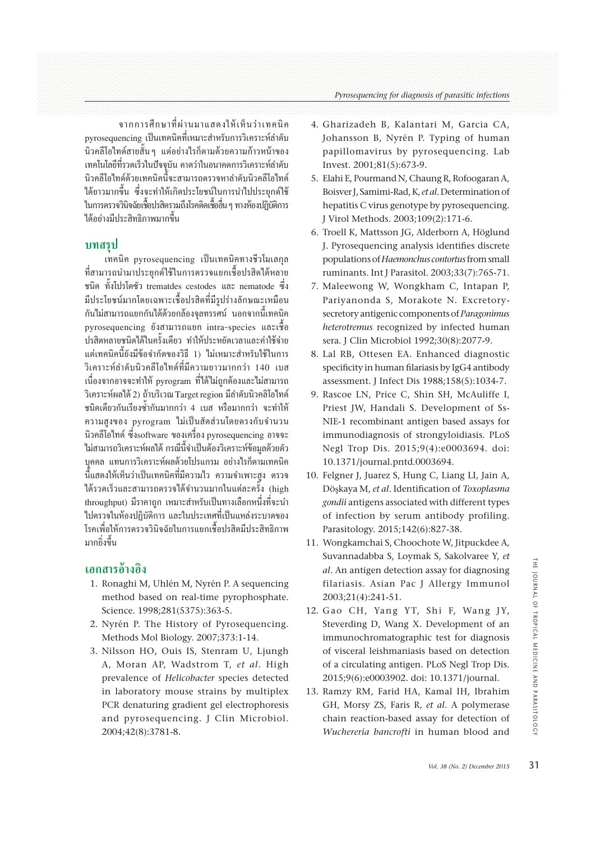จากการศึกษาที่ผ่านมาแสดงให้เห็นว่าเทคนิค pyroseguencing เป็นเทคนิคที่เหมาะสำหรับการวิเคราะห์ลำดับ ี นิวคลีโอไทด์สายสั้น ๆ แต่อย่างไรก็ตามด้วยความก้าวหน้าของ เทคโนโลยีที่รวดเร็วในปัจจุบัน คาดว่าในอนาคตการวิเคราะห์ลำดับ นิวคลีโอไทด์ด้วยเทคนิคนี้จะสามารถตรวจหาลำดับนิวคลีโอไทด์ ได้ยาวมากขึ้น ซึ่งจะทำให้เกิดประโยชน์ในการนำไปประยุกต์ใช้ ในการตรวจวินิจฉัยเชื้อปรสิตรวมถึงโรคติดเชื้ออื่น ๆ ทางห้องปฏิบัติการ ได้อย่างมีประสิทธิภาพมากขึ้น

# ิบทสรป

เทคนิค pyrosequencing เป็นเทคนิคทางชีวโมเลกล ที่สามารถนำมาประยกต์ใช้ในการตรวจแยกเชื้อปรสิตใด้หลาย หนิด ทั้งโปรโตซัว trematdes cestodes และ nematode ซึ่ง มีประโยชน์มากโดยเฉพาะเชื้อปรสิตที่มีรูปร่างลักษณะเหมือน ้กันไม่สามารถแยกกันได้ด้วยกล้องจลทรรศน์ นอกจากนี้เทคนิค pyrosequencing ยังสามารถแยก intra-species และเชื้อ ปรสิตหลายชนิดได้ในครั้งเดียว ทำให้ประหยัดเวลาและค่าใช้จ่าย ้แต่เทคนิคนี้ยังมีข้อจำกัดของวิธี 1) ไม่เหมาะสำหรับใช้ในการ ้วิเคราะห์ลำดับนิวคลีโอไทด์ที่มีความยาวมากกว่า 140 เบส เนื่องจากอาจจะทำให้ pyrogram ที่ได้ไม่ถูกต้องและไม่สามารถ วิเคราะห์ผลได้ 2) ถ้าบริเวณ Target region มีลำดับนิวคลิโอไทด์ ึชนิดเดียวกันเรียงซ้ำกันมากกว่า 4 เบส หรือมากกว่า จะทำให้ ความสูงของ pyrogram ไม่เป็นสัดส่วนโดยตรงกับจำนวน นิวคลีโอไทด์ ซึ่งsoftware ของเครื่อง pvrosequencing อาจจะ ไม่สามารถวิเคราะห์ผลได้ กรณีนี้จำเป็นต้องวิเคราะห์ข้อมลด้วยตัว บุคคล แทนการวิเคราะห์ผลด้วยโปรแกรม อย่างไรก็ตามเทคนิค ้นี้แสดงให้เห็นว่าเป็นเทคนิคที่มีความไว ความจำเพาะสูง ตรวจ ใด้รวดเร็วและสามารถตรวจใด้จำนวนมากในแต่ละครั้ง (high throughput) มีราคาถก เหมาะสำหรับเป็นทางเลือกหนึ่งที่จะนำ ้ไปตรวจในห้องปฏิบัติการ และในประเทศที่เป็นแหล่งระบาดของ โรคเพื่อให้การตรวจวินิจฉัยในการแยกเชื้อปรสิตมีประสิทธิภาพ มากยิ่งขึ้น

# เอกสารค้างอิง

- 1. Ronaghi M, Uhlén M, Nyrén P. A sequencing method based on real-time pyrophosphate. Science. 1998;281(5375):363-5.
- 2. Nyrén P. The History of Pyrosequencing. Methods Mol Biology. 2007;373:1-14.
- 3. Nilsson HO, Ouis IS, Stenram U, Ljungh A, Moran AP, Wadstrom T, et al. High prevalence of Helicobacter species detected in laboratory mouse strains by multiplex PCR denaturing gradient gel electrophoresis and pyrosequencing. J Clin Microbiol. 2004:42(8):3781-8.
- 4. Gharizadeh B, Kalantari M, Garcia CA, Johansson B, Nyrén P. Typing of human papillomavirus by pyrosequencing. Lab Invest. 2001;81(5):673-9.
- 5. Elahi E, Pourmand N, Chaung R, Rofoogaran A, Boisver J, Samimi-Rad, K, et al. Determination of hepatitis C virus genotype by pyrosequencing. I Virol Methods, 2003:109(2):171-6.
- 6. Troell K, Mattsson JG, Alderborn A, Höglund J. Pyrosequencing analysis identifies discrete populations of Haemonchus contortus from small ruminants. Int J Parasitol. 2003;33(7):765-71.
- 7. Maleewong W, Wongkham C, Intapan P, Pariyanonda S, Morakote N. Excretorysecretory antigenic components of Paragonimus heterotremus recognized by infected human sera. J Clin Microbiol 1992;30(8):2077-9.
- 8. Lal RB, Ottesen EA. Enhanced diagnostic specificity in human filariasis by IgG4 antibody assessment. I Infect Dis 1988:158(5):1034-7.
- 9. Rascoe LN, Price C, Shin SH, McAuliffe I, Priest JW, Handali S. Development of Ss-NIE-1 recombinant antigen based assays for immunodiagnosis of strongyloidiasis. PLoS Negl Trop Dis. 2015;9(4):e0003694. doi: 10.1371/journal.pntd.0003694.
- 10. Felgner J, Juarez S, Hung C, Liang LI, Jain A, Döskava M. et al. Identification of Toxoplasma gondii antigens associated with different types of infection by serum antibody profiling. Parasitology. 2015;142(6):827-38.
- 11. Wongkamchai S, Choochote W, Jitpuckdee A, Suvannadabba S, Loymak S, Sakolvaree Y, et al. An antigen detection assay for diagnosing filariasis. Asian Pac J Allergy Immunol 2003;21(4):241-51.
- 12. Gao CH, Yang YT, Shi F, Wang JY, Steverding D, Wang X. Development of an immunochromatographic test for diagnosis of visceral leishmaniasis based on detection of a circulating antigen. PLoS Negl Trop Dis. 2015;9(6):e0003902. doi: 10.1371/journal.
- 13. Ramzy RM, Farid HA, Kamal IH, Ibrahim GH, Morsy ZS, Faris R, et al. A polymerase chain reaction-based assay for detection of Wuchereria bancrofti in human blood and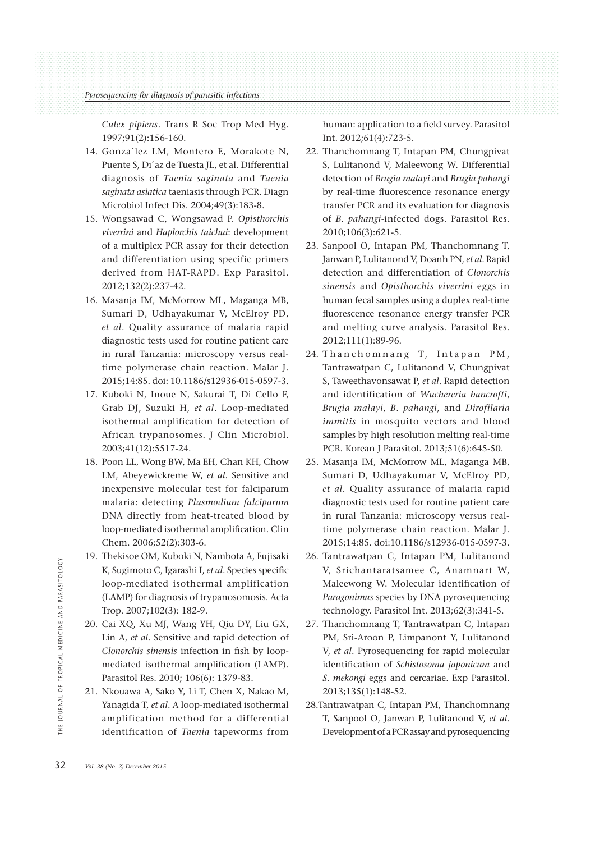*Culex pipiens*. Trans R Soc Trop Med Hyg. 1997;91(2):156-160.

- 14. Gonza´lez LM, Montero E, Morakote N, Puente S, Dı´az de Tuesta JL, et al. Differential diagnosis of *Taenia saginata* and *Taenia saginata asiatica* taeniasis through PCR. Diagn Microbiol Infect Dis. 2004;49(3):183-8.
- 15. Wongsawad C, Wongsawad P. *Opisthorchis viverrini* and *Haplorchis taichui*: development of a multiplex PCR assay for their detection and differentiation using specific primers derived from HAT-RAPD. Exp Parasitol. 2012;132(2):237-42.
- 16. Masanja IM, McMorrow ML, Maganga MB, Sumari D, Udhayakumar V, McElroy PD, *et al*. Quality assurance of malaria rapid diagnostic tests used for routine patient care in rural Tanzania: microscopy versus realtime polymerase chain reaction. Malar J. 2015;14:85. doi: 10.1186/s12936-015-0597-3.
- 17. Kuboki N, Inoue N, Sakurai T, Di Cello F, Grab DJ, Suzuki H, *et al*. Loop-mediated isothermal amplification for detection of African trypanosomes. J Clin Microbiol. 2003;41(12):5517-24.
- 18. Poon LL, Wong BW, Ma EH, Chan KH, Chow LM, Abeyewickreme W, *et al*. Sensitive and inexpensive molecular test for falciparum malaria: detecting *Plasmodium falciparum* DNA directly from heat-treated blood by loop-mediated isothermal amplification. Clin Chem. 2006;52(2):303-6.
- 19. Thekisoe OM, Kuboki N, Nambota A, Fujisaki K, Sugimoto C, Igarashi I, *et al*. Species specific loop-mediated isothermal amplification (LAMP) for diagnosis of trypanosomosis. Acta Trop. 2007;102(3): 182-9.
- 20. Cai XQ, Xu MJ, Wang YH, Qiu DY, Liu GX, Lin A, *et al*. Sensitive and rapid detection of *Clonorchis sinensis* infection in fish by loopmediated isothermal amplification (LAMP). Parasitol Res. 2010; 106(6): 1379-83. 32 *Vol. 38 (No. 2)* December 2013<br>
32 *Vol. 38 (No. 2)* December 2015<br>
32 *Vol. 38 (No. 2)* December 2015<br>
32 *Vol. 38 (No. 2)* December 2015<br>
32 *Vol. 38 (No. 2)* December 2015<br>
32 *Vol. 38 (No. 2)* December 2015
	- 21. Nkouawa A, Sako Y, Li T, Chen X, Nakao M, Yanagida T, *et al*. A loop-mediated isothermal amplification method for a differential identification of *Taenia* tapeworms from

human: application to a field survey. Parasitol Int. 2012;61(4):723-5.

- 22. Thanchomnang T, Intapan PM, Chungpivat S, Lulitanond V, Maleewong W. Differential detection of *Brugia malayi* and *Brugia pahangi* by real-time fluorescence resonance energy transfer PCR and its evaluation for diagnosis of *B. pahangi*-infected dogs. Parasitol Res. 2010;106(3):621-5.
- 23. Sanpool O, Intapan PM, Thanchomnang T, Janwan P, Lulitanond V, Doanh PN, *et al*. Rapid detection and differentiation of *Clonorchis sinensis* and *Opisthorchis viverrini* eggs in human fecal samples using a duplex real-time fluorescence resonance energy transfer PCR and melting curve analysis. Parasitol Res. 2012;111(1):89-96.
- 24. Than chomnang T, Intapan PM, Tantrawatpan C, Lulitanond V, Chungpivat S, Taweethavonsawat P, *et al*. Rapid detection and identification of *Wuchereria bancrofti*, *Brugia malayi*, *B. pahangi*, and *Dirofilaria immitis* in mosquito vectors and blood samples by high resolution melting real-time PCR. Korean J Parasitol. 2013;51(6):645-50.
- 25. Masanja IM, McMorrow ML, Maganga MB, Sumari D, Udhayakumar V, McElroy PD, *et al*. Quality assurance of malaria rapid diagnostic tests used for routine patient care in rural Tanzania: microscopy versus realtime polymerase chain reaction. Malar J. 2015;14:85. doi:10.1186/s12936-015-0597-3.
- 26. Tantrawatpan C, Intapan PM, Lulitanond V, Srichantaratsamee C, Anamnart W, Maleewong W. Molecular identification of *Paragonimus* species by DNA pyrosequencing technology. Parasitol Int. 2013;62(3):341-5.
- 27. Thanchomnang T, Tantrawatpan C, Intapan PM, Sri-Aroon P, Limpanont Y, Lulitanond V, *et al*. Pyrosequencing for rapid molecular identification of *Schistosoma japonicum* and *S. mekongi* eggs and cercariae. Exp Parasitol. 2013;135(1):148-52.
- 28. Tantrawatpan C, Intapan PM, Thanchomnang T, Sanpool O, Janwan P, Lulitanond V, *et al*. Development of a PCR assay and pyrosequencing